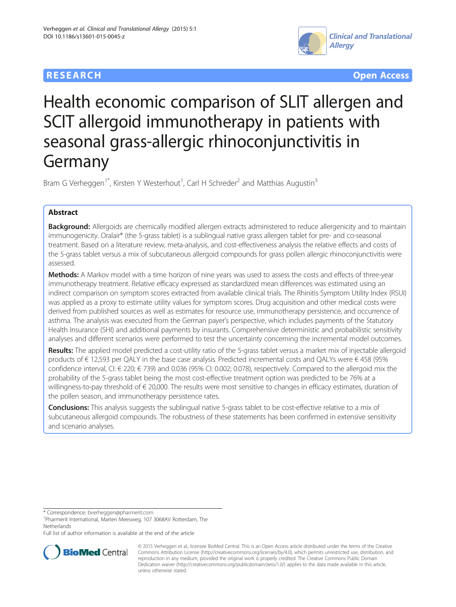

**RESEARCH CHE CHE Open Access** 

# Health economic comparison of SLIT allergen and SCIT allergoid immunotherapy in patients with seasonal grass-allergic rhinoconjunctivitis in Germany

Bram G Verheggen<sup>1\*</sup>, Kirsten Y Westerhout<sup>1</sup>, Carl H Schreder<sup>2</sup> and Matthias Augustin<sup>3</sup>

# Abstract

**Background:** Allergoids are chemically modified allergen extracts administered to reduce allergenicity and to maintain immunogenicity. Oralair® (the 5-grass tablet) is a sublingual native grass allergen tablet for pre- and co-seasonal treatment. Based on a literature review, meta-analysis, and cost-effectiveness analysis the relative effects and costs of the 5-grass tablet versus a mix of subcutaneous allergoid compounds for grass pollen allergic rhinoconjunctivitis were assessed.

Methods: A Markov model with a time horizon of nine years was used to assess the costs and effects of three-year immunotherapy treatment. Relative efficacy expressed as standardized mean differences was estimated using an indirect comparison on symptom scores extracted from available clinical trials. The Rhinitis Symptom Utility Index (RSUI) was applied as a proxy to estimate utility values for symptom scores. Drug acquisition and other medical costs were derived from published sources as well as estimates for resource use, immunotherapy persistence, and occurrence of asthma. The analysis was executed from the German payer's perspective, which includes payments of the Statutory Health Insurance (SHI) and additional payments by insurants. Comprehensive deterministic and probabilistic sensitivity analyses and different scenarios were performed to test the uncertainty concerning the incremental model outcomes.

Results: The applied model predicted a cost-utility ratio of the 5-grass tablet versus a market mix of injectable allergoid products of € 12,593 per QALY in the base case analysis. Predicted incremental costs and QALYs were € 458 (95% confidence interval, CI:  $\in$  220;  $\in$  739) and 0.036 (95% CI: 0.002; 0.078), respectively. Compared to the allergoid mix the probability of the 5-grass tablet being the most cost-effective treatment option was predicted to be 76% at a willingness-to-pay threshold of € 20,000. The results were most sensitive to changes in efficacy estimates, duration of the pollen season, and immunotherapy persistence rates.

**Conclusions:** This analysis suggests the sublingual native 5-grass tablet to be cost-effective relative to a mix of subcutaneous allergoid compounds. The robustness of these statements has been confirmed in extensive sensitivity and scenario analyses.

\* Correspondence: [bverheggen@pharmerit.com](mailto:bverheggen@pharmerit.com) <sup>1</sup>

Full list of author information is available at the end of the article



<sup>© 2015</sup> Verheggen et al.; licensee BioMed Central. This is an Open Access article distributed under the terms of the Creative Commons Attribution License [\(http://creativecommons.org/licenses/by/4.0\)](http://creativecommons.org/licenses/by/4.0), which permits unrestricted use, distribution, and reproduction in any medium, provided the original work is properly credited. The Creative Commons Public Domain Dedication waiver [\(http://creativecommons.org/publicdomain/zero/1.0/](http://creativecommons.org/publicdomain/zero/1.0/)) applies to the data made available in this article, unless otherwise stated.

<sup>&</sup>lt;sup>1</sup>Pharmerit International, Marten Meesweg, 107 3068AV Rotterdam, The Netherlands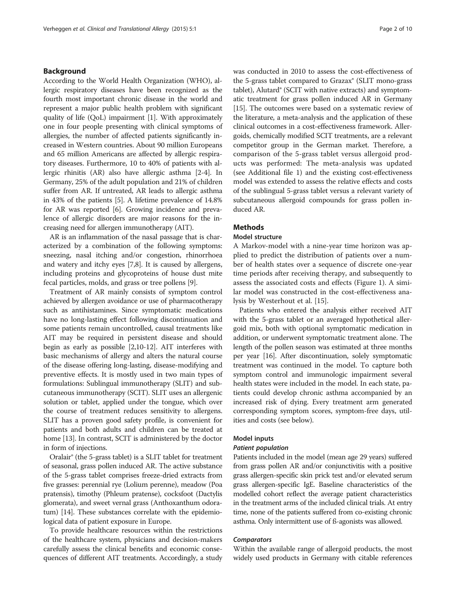# Background

According to the World Health Organization (WHO), allergic respiratory diseases have been recognized as the fourth most important chronic disease in the world and represent a major public health problem with significant quality of life (QoL) impairment [[1\]](#page-8-0). With approximately one in four people presenting with clinical symptoms of allergies, the number of affected patients significantly increased in Western countries. About 90 million Europeans and 65 million Americans are affected by allergic respiratory diseases. Furthermore, 10 to 40% of patients with allergic rhinitis (AR) also have allergic asthma [\[2-4](#page-8-0)]. In Germany, 25% of the adult population and 21% of children suffer from AR. If untreated, AR leads to allergic asthma in 43% of the patients [\[5\]](#page-8-0). A lifetime prevalence of 14.8% for AR was reported [\[6](#page-8-0)]. Growing incidence and prevalence of allergic disorders are major reasons for the increasing need for allergen immunotherapy (AIT).

AR is an inflammation of the nasal passage that is characterized by a combination of the following symptoms: sneezing, nasal itching and/or congestion, rhinorrhoea and watery and itchy eyes [[7,8](#page-8-0)]. It is caused by allergens, including proteins and glycoproteins of house dust mite fecal particles, molds, and grass or tree pollens [\[9\]](#page-8-0).

Treatment of AR mainly consists of symptom control achieved by allergen avoidance or use of pharmacotherapy such as antihistamines. Since symptomatic medications have no long-lasting effect following discontinuation and some patients remain uncontrolled, causal treatments like AIT may be required in persistent disease and should begin as early as possible [[2,10](#page-8-0)-[12](#page-8-0)]. AIT interferes with basic mechanisms of allergy and alters the natural course of the disease offering long-lasting, disease-modifying and preventive effects. It is mostly used in two main types of formulations: Sublingual immunotherapy (SLIT) and subcutaneous immunotherapy (SCIT). SLIT uses an allergenic solution or tablet, applied under the tongue, which over the course of treatment reduces sensitivity to allergens. SLIT has a proven good safety profile, is convenient for patients and both adults and children can be treated at home [\[13\]](#page-8-0). In contrast, SCIT is administered by the doctor in form of injections.

Oralair® (the 5-grass tablet) is a SLIT tablet for treatment of seasonal, grass pollen induced AR. The active substance of the 5-grass tablet comprises freeze-dried extracts from five grasses: perennial rye (Lolium perenne), meadow (Poa pratensis), timothy (Phleum pratense), cocksfoot (Dactylis glomerata), and sweet vernal grass (Anthoxanthum odoratum) [[14](#page-8-0)]. These substances correlate with the epidemiological data of patient exposure in Europe.

To provide healthcare resources within the restrictions of the healthcare system, physicians and decision-makers carefully assess the clinical benefits and economic consequences of different AIT treatments. Accordingly, a study was conducted in 2010 to assess the cost-effectiveness of the 5-grass tablet compared to Grazax® (SLIT mono-grass tablet), Alutard® (SCIT with native extracts) and symptomatic treatment for grass pollen induced AR in Germany [[15](#page-8-0)]. The outcomes were based on a systematic review of the literature, a meta-analysis and the application of these clinical outcomes in a cost-effectiveness framework. Allergoids, chemically modified SCIT treatments, are a relevant competitor group in the German market. Therefore, a comparison of the 5-grass tablet versus allergoid products was performed: The meta-analysis was updated (see Additional file [1\)](#page-8-0) and the existing cost-effectiveness model was extended to assess the relative effects and costs of the sublingual 5-grass tablet versus a relevant variety of subcutaneous allergoid compounds for grass pollen induced AR.

# **Methods**

#### Model structure

A Markov-model with a nine-year time horizon was applied to predict the distribution of patients over a number of health states over a sequence of discrete one-year time periods after receiving therapy, and subsequently to assess the associated costs and effects (Figure [1](#page-2-0)). A similar model was constructed in the cost-effectiveness analysis by Westerhout et al. [\[15\]](#page-8-0).

Patients who entered the analysis either received AIT with the 5-grass tablet or an averaged hypothetical allergoid mix, both with optional symptomatic medication in addition, or underwent symptomatic treatment alone. The length of the pollen season was estimated at three months per year [[16](#page-8-0)]. After discontinuation, solely symptomatic treatment was continued in the model. To capture both symptom control and immunologic impairment several health states were included in the model. In each state, patients could develop chronic asthma accompanied by an increased risk of dying. Every treatment arm generated corresponding symptom scores, symptom-free days, utilities and costs (see below).

# Model inputs

#### Patient population

Patients included in the model (mean age 29 years) suffered from grass pollen AR and/or conjunctivitis with a positive grass allergen-specific skin prick test and/or elevated serum grass allergen-specific IgE. Baseline characteristics of the modelled cohort reflect the average patient characteristics in the treatment arms of the included clinical trials. At entry time, none of the patients suffered from co-existing chronic asthma. Only intermittent use of ß-agonists was allowed.

#### **Comparators**

Within the available range of allergoid products, the most widely used products in Germany with citable references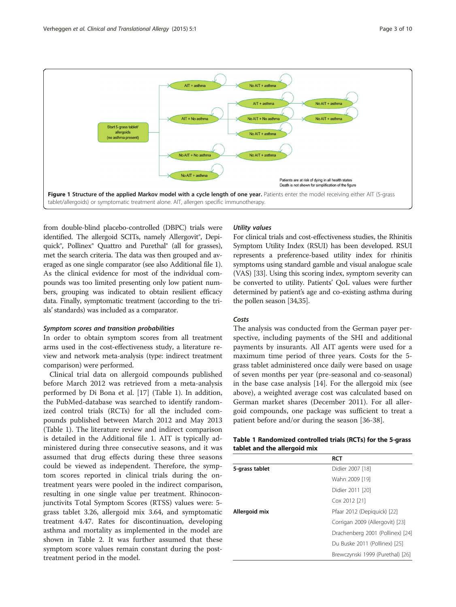<span id="page-2-0"></span>

from double-blind placebo-controlled (DBPC) trials were identified. The allergoid SCITs, namely Allergovit®, Depiquick®, Pollinex® Quattro and Purethal® (all for grasses), met the search criteria. The data was then grouped and averaged as one single comparator (see also Additional file [1](#page-8-0)). As the clinical evidence for most of the individual compounds was too limited presenting only low patient numbers, grouping was indicated to obtain resilient efficacy data. Finally, symptomatic treatment (according to the trials' standards) was included as a comparator.

# Symptom scores and transition probabilities

In order to obtain symptom scores from all treatment arms used in the cost-effectiveness study, a literature review and network meta-analysis (type: indirect treatment comparison) were performed.

Clinical trial data on allergoid compounds published before March 2012 was retrieved from a meta-analysis performed by Di Bona et al. [\[17](#page-8-0)] (Table 1). In addition, the PubMed-database was searched to identify randomized control trials (RCTs) for all the included compounds published between March 2012 and May 2013 (Table 1). The literature review and indirect comparison is detailed in the Additional file [1.](#page-8-0) AIT is typically administered during three consecutive seasons, and it was assumed that drug effects during these three seasons could be viewed as independent. Therefore, the symptom scores reported in clinical trials during the ontreatment years were pooled in the indirect comparison, resulting in one single value per treatment. Rhinoconjunctivits Total Symptom Scores (RTSS) values were: 5 grass tablet 3.26, allergoid mix 3.64, and symptomatic treatment 4.47. Rates for discontinuation, developing asthma and mortality as implemented in the model are shown in Table [2](#page-3-0). It was further assumed that these symptom score values remain constant during the posttreatment period in the model.

## Utility values

For clinical trials and cost-effectiveness studies, the Rhinitis Symptom Utility Index (RSUI) has been developed. RSUI represents a preference-based utility index for rhinitis symptoms using standard gamble and visual analogue scale (VAS) [\[33\]](#page-9-0). Using this scoring index, symptom severity can be converted to utility. Patients' QoL values were further determined by patient's age and co-existing asthma during the pollen season [[34,35\]](#page-9-0).

# Costs

The analysis was conducted from the German payer perspective, including payments of the SHI and additional payments by insurants. All AIT agents were used for a maximum time period of three years. Costs for the 5 grass tablet administered once daily were based on usage of seven months per year (pre-seasonal and co-seasonal) in the base case analysis [[14](#page-8-0)]. For the allergoid mix (see above), a weighted average cost was calculated based on German market shares (December 2011). For all allergoid compounds, one package was sufficient to treat a patient before and/or during the season [\[36](#page-9-0)-[38\]](#page-9-0).

# Table 1 Randomized controlled trials (RCTs) for the 5-grass tablet and the allergoid mix

|                | <b>RCT</b>                       |
|----------------|----------------------------------|
| 5-grass tablet | Didier 2007 [18]                 |
|                | Wahn 2009 [19]                   |
|                | Didier 2011 [20]                 |
|                | Cox 2012 [21]                    |
| Allergoid mix  | Pfaar 2012 (Depiquick) [22]      |
|                | Corrigan 2009 (Allergovit) [23]  |
|                | Drachenberg 2001 (Pollinex) [24] |
|                | Du Buske 2011 (Pollinex) [25]    |
|                | Brewczynski 1999 (Purethal) [26] |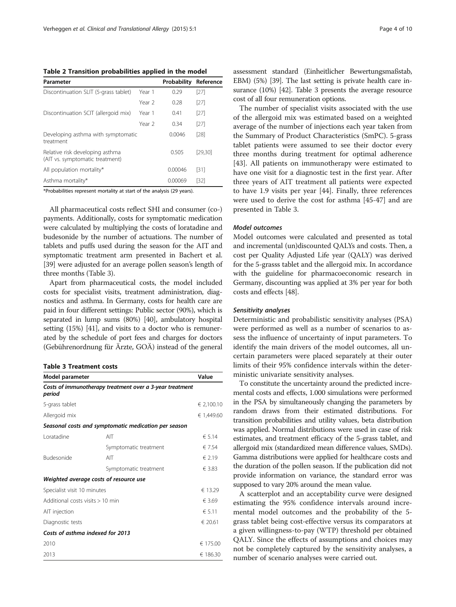<span id="page-3-0"></span>Table 2 Transition probabilities applied in the model

| Parameter                                                          |                   | Probability | Reference |
|--------------------------------------------------------------------|-------------------|-------------|-----------|
| Discontinuation SLIT (5-grass tablet)                              | Year 1            | 0.29        | [27]      |
|                                                                    | Year <sub>2</sub> | 0.28        | [27]      |
| Discontinuation SCIT (allergoid mix)                               | Year 1            | 0.41        | [27]      |
|                                                                    | Year <sub>2</sub> | 0.34        | [27]      |
| Developing asthma with symptomatic<br>treatment                    |                   | 0.0046      | [28]      |
| Relative risk developing asthma<br>(AIT vs. symptomatic treatment) |                   | 0.505       | [29.30]   |
| All population mortality*                                          |                   | 0.00046     | [31]      |
| Asthma mortality*                                                  |                   | 0.00069     | [32]      |

\*Probabilities represent mortality at start of the analysis (29 years).

All pharmaceutical costs reflect SHI and consumer (co-) payments. Additionally, costs for symptomatic medication were calculated by multiplying the costs of loratadine and budesonide by the number of actuations. The number of tablets and puffs used during the season for the AIT and symptomatic treatment arm presented in Bachert et al. [[39](#page-9-0)] were adjusted for an average pollen season's length of three months (Table 3).

Apart from pharmaceutical costs, the model included costs for specialist visits, treatment administration, diagnostics and asthma. In Germany, costs for health care are paid in four different settings: Public sector (90%), which is separated in lump sums (80%) [\[40](#page-9-0)], ambulatory hospital setting (15%) [\[41\]](#page-9-0), and visits to a doctor who is remunerated by the schedule of port fees and charges for doctors (Gebührenordnung für Ärzte, GOÄ) instead of the general

|  | <b>Table 3 Treatment costs</b> |  |
|--|--------------------------------|--|
|--|--------------------------------|--|

| Model parameter                    |                                                          | Value           |
|------------------------------------|----------------------------------------------------------|-----------------|
| period                             | Costs of immunotherapy treatment over a 3-year treatment |                 |
| 5-grass tablet                     |                                                          | € 2,100.10      |
| Allergoid mix                      |                                                          | € 1.449.60      |
|                                    | Seasonal costs and symptomatic medication per season     |                 |
| Loratadine                         | AIT                                                      | € 5.14          |
|                                    | Symptomatic treatment                                    | € 7.54          |
| Budesonide                         | AIT                                                      | € 2.19          |
|                                    | Symptomatic treatment                                    | € 3.83          |
|                                    | Weighted average costs of resource use                   |                 |
| Specialist visit 10 minutes        |                                                          | € 13.29         |
| Additional costs visits $> 10$ min |                                                          | € 3.69          |
| AIT injection                      |                                                          | $\epsilon$ 5.11 |
| Diagnostic tests                   |                                                          | € 20.61         |
| Costs of asthma indexed for 2013   |                                                          |                 |
| 2010                               |                                                          | € 175.00        |
| 2013                               |                                                          | € 186.30        |

assessment standard (Einheitlicher Bewertungsmaßstab, EBM) (5%) [\[39\]](#page-9-0). The last setting is private health care insurance (10%) [[42](#page-9-0)]. Table 3 presents the average resource cost of all four remuneration options.

The number of specialist visits associated with the use of the allergoid mix was estimated based on a weighted average of the number of injections each year taken from the Summary of Product Characteristics (SmPC). 5-grass tablet patients were assumed to see their doctor every three months during treatment for optimal adherence [[43\]](#page-9-0). All patients on immunotherapy were estimated to have one visit for a diagnostic test in the first year. After three years of AIT treatment all patients were expected to have 1.9 visits per year [\[44](#page-9-0)]. Finally, three references were used to derive the cost for asthma [[45-47\]](#page-9-0) and are presented in Table 3.

# Model outcomes

Model outcomes were calculated and presented as total and incremental (un)discounted QALYs and costs. Then, a cost per Quality Adjusted Life year (QALY) was derived for the 5-grasss tablet and the allergoid mix. In accordance with the guideline for pharmacoeconomic research in Germany, discounting was applied at 3% per year for both costs and effects [[48](#page-9-0)].

#### Sensitivity analyses

Deterministic and probabilistic sensitivity analyses (PSA) were performed as well as a number of scenarios to assess the influence of uncertainty of input parameters. To identify the main drivers of the model outcomes, all uncertain parameters were placed separately at their outer limits of their 95% confidence intervals within the deterministic univariate sensitivity analyses.

To constitute the uncertainty around the predicted incremental costs and effects, 1.000 simulations were performed in the PSA by simultaneously changing the parameters by random draws from their estimated distributions. For transition probabilities and utility values, beta distribution was applied. Normal distributions were used in case of risk estimates, and treatment efficacy of the 5-grass tablet, and allergoid mix (standardized mean difference values, SMDs). Gamma distributions were applied for healthcare costs and the duration of the pollen season. If the publication did not provide information on variance, the standard error was supposed to vary 20% around the mean value.

A scatterplot and an acceptability curve were designed estimating the 95% confidence intervals around incremental model outcomes and the probability of the 5 grass tablet being cost-effective versus its comparators at a given willingness-to-pay (WTP) threshold per obtained QALY. Since the effects of assumptions and choices may not be completely captured by the sensitivity analyses, a number of scenario analyses were carried out.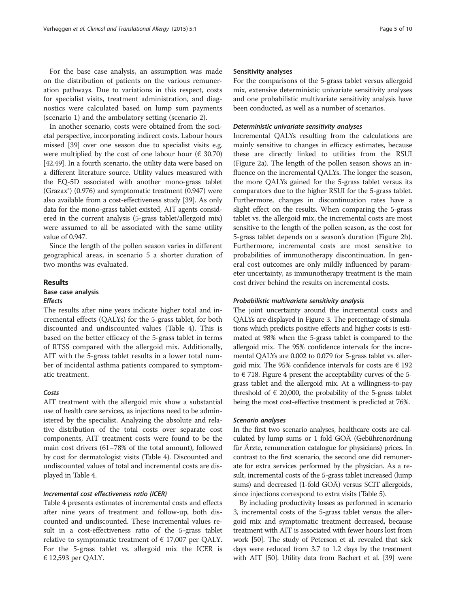For the base case analysis, an assumption was made on the distribution of patients on the various remuneration pathways. Due to variations in this respect, costs for specialist visits, treatment administration, and diagnostics were calculated based on lump sum payments (scenario 1) and the ambulatory setting (scenario 2).

In another scenario, costs were obtained from the societal perspective, incorporating indirect costs. Labour hours missed [[39](#page-9-0)] over one season due to specialist visits e.g. were multiplied by the cost of one labour hour ( $\epsilon$  30.70) [[42,49\]](#page-9-0). In a fourth scenario, the utility data were based on a different literature source. Utility values measured with the EQ-5D associated with another mono-grass tablet (Grazax $\degree$ ) (0.976) and symptomatic treatment (0.947) were also available from a cost-effectiveness study [[39](#page-9-0)]. As only data for the mono-grass tablet existed, AIT agents considered in the current analysis (5-grass tablet/allergoid mix) were assumed to all be associated with the same utility value of 0.947.

Since the length of the pollen season varies in different geographical areas, in scenario 5 a shorter duration of two months was evaluated.

#### Results

# Base case analysis

#### Effects

The results after nine years indicate higher total and incremental effects (QALYs) for the 5-grass tablet, for both discounted and undiscounted values (Table [4](#page-5-0)). This is based on the better efficacy of the 5-grass tablet in terms of RTSS compared with the allergoid mix. Additionally, AIT with the 5-grass tablet results in a lower total number of incidental asthma patients compared to symptomatic treatment.

# Costs

AIT treatment with the allergoid mix show a substantial use of health care services, as injections need to be administered by the specialist. Analyzing the absolute and relative distribution of the total costs over separate cost components, AIT treatment costs were found to be the main cost drivers (61–78% of the total amount), followed by cost for dermatologist visits (Table [4](#page-5-0)). Discounted and undiscounted values of total and incremental costs are displayed in Table [4](#page-5-0).

# Incremental cost effectiveness ratio (ICER)

Table [4](#page-5-0) presents estimates of incremental costs and effects after nine years of treatment and follow-up, both discounted and undiscounted. These incremental values result in a cost-effectiveness ratio of the 5-grass tablet relative to symptomatic treatment of  $\epsilon$  17,007 per QALY. For the 5-grass tablet vs. allergoid mix the ICER is € 12,593 per QALY.

#### Sensitivity analyses

For the comparisons of the 5-grass tablet versus allergoid mix, extensive deterministic univariate sensitivity analyses and one probabilistic multivariate sensitivity analysis have been conducted, as well as a number of scenarios.

#### Deterministic univariate sensitivity analyses

Incremental QALYs resulting from the calculations are mainly sensitive to changes in efficacy estimates, because these are directly linked to utilities from the RSUI (Figure [2](#page-5-0)a). The length of the pollen season shows an influence on the incremental QALYs. The longer the season, the more QALYs gained for the 5-grass tablet versus its comparators due to the higher RSUI for the 5-grass tablet. Furthermore, changes in discontinuation rates have a slight effect on the results. When comparing the 5-grass tablet vs. the allergoid mix, the incremental costs are most sensitive to the length of the pollen season, as the cost for 5-grass tablet depends on a season's duration (Figure [2](#page-5-0)b). Furthermore, incremental costs are most sensitive to probabilities of immunotherapy discontinuation. In general cost outcomes are only mildly influenced by parameter uncertainty, as immunotherapy treatment is the main cost driver behind the results on incremental costs.

## Probabilistic multivariate sensitivity analysis

The joint uncertainty around the incremental costs and QALYs are displayed in Figure [3](#page-6-0). The percentage of simulations which predicts positive effects and higher costs is estimated at 98% when the 5-grass tablet is compared to the allergoid mix. The 95% confidence intervals for the incremental QALYs are 0.002 to 0.079 for 5-grass tablet vs. allergoid mix. The 95% confidence intervals for costs are  $\epsilon$  192 to  $\epsilon$  718. Figure [4](#page-6-0) present the acceptability curves of the 5grass tablet and the allergoid mix. At a willingness-to-pay threshold of  $\epsilon$  20,000, the probability of the 5-grass tablet being the most cost-effective treatment is predicted at 76%.

# Scenario analyses

In the first two scenario analyses, healthcare costs are calculated by lump sums or 1 fold GOÄ (Gebührenordnung für Ärzte, remuneration catalogue for physicians) prices. In contrast to the first scenario, the second one did remunerate for extra services performed by the physician. As a result, incremental costs of the 5-grass tablet increased (lump sums) and decreased (1-fold GOÄ) versus SCIT allergoids, since injections correspond to extra visits (Table [5\)](#page-7-0).

By including productivity losses as performed in scenario 3, incremental costs of the 5-grass tablet versus the allergoid mix and symptomatic treatment decreased, because treatment with AIT is associated with fewer hours lost from work [[50\]](#page-9-0). The study of Peterson et al. revealed that sick days were reduced from 3.7 to 1.2 days by the treatment with AIT [[50](#page-9-0)]. Utility data from Bachert et al. [\[39](#page-9-0)] were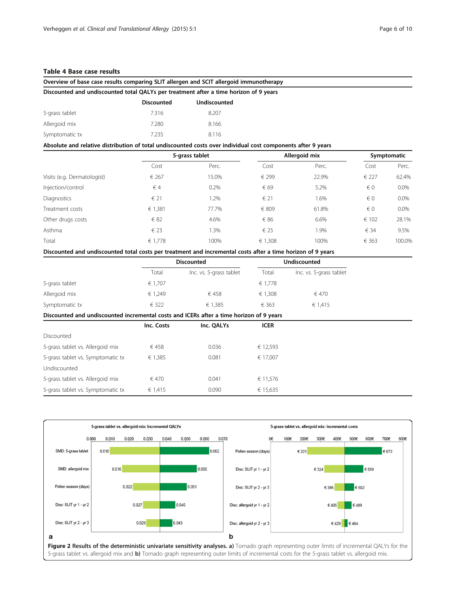## <span id="page-5-0"></span>Table 4 Base case results

| Overview of base case results comparing SLIT allergen and SCIT allergoid immunotherapy |                   |                                                                                       |  |  |
|----------------------------------------------------------------------------------------|-------------------|---------------------------------------------------------------------------------------|--|--|
|                                                                                        |                   | Discounted and undiscounted total QALYs per treatment after a time horizon of 9 years |  |  |
|                                                                                        | <b>Discounted</b> | <b>Undiscounted</b>                                                                   |  |  |
| 5-grass tablet                                                                         | 7.316             | 8.207                                                                                 |  |  |
| Allergoid mix                                                                          | 7.280             | 8.166                                                                                 |  |  |
| Symptomatic tx                                                                         | 7.235             | 8.116                                                                                 |  |  |

### Absolute and relative distribution of total undiscounted costs over individual cost components after 9 years

|                             | 5-grass tablet |       | Allergoid mix |       | Symptomatic |        |
|-----------------------------|----------------|-------|---------------|-------|-------------|--------|
|                             | Cost           | Perc. | Cost          | Perc. | Cost        | Perc.  |
| Visits (e.g. Dermatologist) | € 267          | 15.0% | € 299         | 22.9% | € 227       | 62.4%  |
| Injection/control           | $\in$ 4        | 0.2%  | € 69          | 5.2%  | € 0         | 0.0%   |
| Diagnostics                 | $\in$ 21       | 1.2%  | $\in$ 21      | .6%   | € 0         | 0.0%   |
| Treatment costs             | € 1,381        | 77.7% | € 809         | 61.8% | € 0         | 0.0%   |
| Other drugs costs           | € 82           | 4.6%  | € 86          | 6.6%  | € 102       | 28.1%  |
| Asthma                      | € 23           | 1.3%  | € 25          | 1.9%  | € 34        | 9.5%   |
| Total                       | € 1,778        | 100%  | € 1,308       | 100%  | € 363       | 100.0% |

# Discounted and undiscounted total costs per treatment and incremental costs after a time horizon of 9 years

|                                                                                         | <b>Discounted</b> |                         |                  | <b>Undiscounted</b>     |  |
|-----------------------------------------------------------------------------------------|-------------------|-------------------------|------------------|-------------------------|--|
|                                                                                         | Total             | Inc. vs. 5-grass tablet | Total            | Inc. vs. 5-grass tablet |  |
| 5-grass tablet                                                                          | € 1,707           |                         | $\epsilon$ 1,778 |                         |  |
| Allergoid mix                                                                           | € 1,249           | € 458                   | € 1,308          | $\in$ 470               |  |
| Symptomatic tx                                                                          | $\in$ 322         | € 1,385                 | € 363            | € 1,415                 |  |
| Discounted and undiscounted incremental costs and ICERs after a time horizon of 9 years |                   |                         |                  |                         |  |
|                                                                                         | Inc. Costs        | Inc. QALYs              | <b>ICER</b>      |                         |  |
| Discounted                                                                              |                   |                         |                  |                         |  |
| 5-grass tablet vs. Allergoid mix                                                        | € 458             | 0.036                   | € 12,593         |                         |  |
| 5-grass tablet vs. Symptomatic tx                                                       | € 1,385           | 0.081                   | € 17,007         |                         |  |
| Undiscounted                                                                            |                   |                         |                  |                         |  |
| 5-grass tablet vs. Allergoid mix                                                        | € 470             | 0.041                   | € 11,576         |                         |  |
| 5-grass tablet vs. Symptomatic tx                                                       | € 1,415           | 0.090                   | € 15,635         |                         |  |

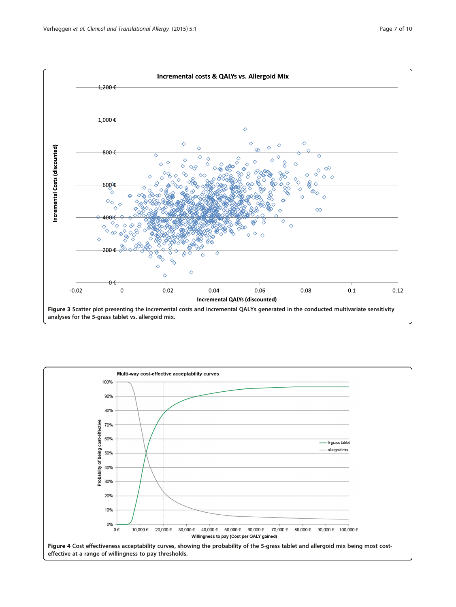<span id="page-6-0"></span>

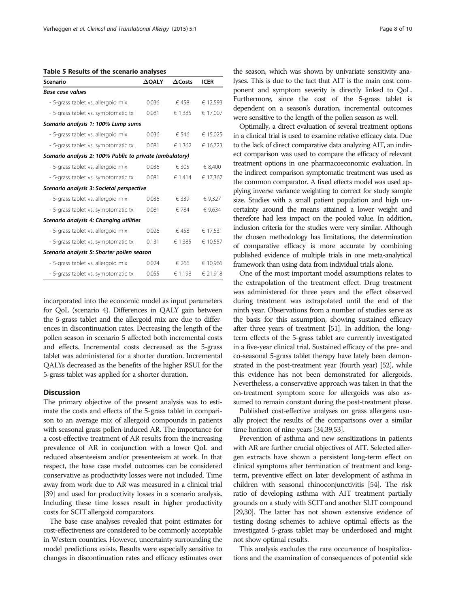<span id="page-7-0"></span>Table 5 Results of the scenario analyses

| <b>Scenario</b>                                          | $\Delta$ OALY | $\triangle$ Costs | <b>ICER</b> |
|----------------------------------------------------------|---------------|-------------------|-------------|
| <b>Base case values</b>                                  |               |                   |             |
| - 5-grass tablet vs. allergoid mix                       | 0.036         | € 458             | € 12,593    |
| - 5-grass tablet vs. symptomatic tx                      | 0.081         | € 1,385           | € 17,007    |
| Scenario analysis 1: 100% Lump sums                      |               |                   |             |
| - 5-grass tablet vs. allergoid mix                       | 0.036         | € 546             | € 15,025    |
| - 5-grass tablet vs. symptomatic tx                      | 0.081         | € 1,362           | € 16,723    |
| Scenario analysis 2: 100% Public to private (ambulatory) |               |                   |             |
| - 5-grass tablet vs. allergoid mix                       | 0.036         | € 305             | € 8.400     |
| - 5-grass tablet vs. symptomatic tx                      | 0.081         | € 1,414           | € 17,367    |
| Scenario analysis 3: Societal perspective                |               |                   |             |
| - 5-grass tablet vs. allergoid mix                       | 0.036         | € 339             | € 9,327     |
| - 5-grass tablet vs. symptomatic tx                      | 0.081         | € 784             | € 9,634     |
| Scenario analysis 4: Changing utilities                  |               |                   |             |
| - 5-grass tablet vs. allergoid mix                       | 0.026         | € 458             | € 17,531    |
| - 5-grass tablet vs. symptomatic tx                      | 0.131         | € 1,385           | € 10,557    |
| Scenario analysis 5: Shorter pollen season               |               |                   |             |
| - 5-grass tablet vs. allergoid mix                       | 0.024         | € 266             | € 10,966    |
| - 5-grass tablet vs. symptomatic tx                      | 0.055         | € 1,198           | € 21,918    |

incorporated into the economic model as input parameters for QoL (scenario 4). Differences in QALY gain between the 5-grass tablet and the allergoid mix are due to differences in discontinuation rates. Decreasing the length of the pollen season in scenario 5 affected both incremental costs and effects. Incremental costs decreased as the 5-grass tablet was administered for a shorter duration. Incremental QALYs decreased as the benefits of the higher RSUI for the 5-grass tablet was applied for a shorter duration.

# **Discussion**

The primary objective of the present analysis was to estimate the costs and effects of the 5-grass tablet in comparison to an average mix of allergoid compounds in patients with seasonal grass pollen-induced AR. The importance for a cost-effective treatment of AR results from the increasing prevalence of AR in conjunction with a lower QoL and reduced absenteeism and/or presenteeism at work. In that respect, the base case model outcomes can be considered conservative as productivity losses were not included. Time away from work due to AR was measured in a clinical trial [[39](#page-9-0)] and used for productivity losses in a scenario analysis. Including these time losses result in higher productivity costs for SCIT allergoid comparators.

The base case analyses revealed that point estimates for cost-effectiveness are considered to be commonly acceptable in Western countries. However, uncertainty surrounding the model predictions exists. Results were especially sensitive to changes in discontinuation rates and efficacy estimates over

the season, which was shown by univariate sensitivity analyses. This is due to the fact that AIT is the main cost component and symptom severity is directly linked to QoL. Furthermore, since the cost of the 5-grass tablet is dependent on a season's duration, incremental outcomes were sensitive to the length of the pollen season as well.

Optimally, a direct evaluation of several treatment options in a clinical trial is used to examine relative efficacy data. Due to the lack of direct comparative data analyzing AIT, an indirect comparison was used to compare the efficacy of relevant treatment options in one pharmacoeconomic evaluation. In the indirect comparison symptomatic treatment was used as the common comparator. A fixed effects model was used applying inverse variance weighting to correct for study sample size. Studies with a small patient population and high uncertainty around the means attained a lower weight and therefore had less impact on the pooled value. In addition, inclusion criteria for the studies were very similar. Although the chosen methodology has limitations, the determination of comparative efficacy is more accurate by combining published evidence of multiple trials in one meta-analytical framework than using data from individual trials alone.

One of the most important model assumptions relates to the extrapolation of the treatment effect. Drug treatment was administered for three years and the effect observed during treatment was extrapolated until the end of the ninth year. Observations from a number of studies serve as the basis for this assumption, showing sustained efficacy after three years of treatment [\[51](#page-9-0)]. In addition, the longterm effects of the 5-grass tablet are currently investigated in a five-year clinical trial. Sustained efficacy of the pre- and co-seasonal 5-grass tablet therapy have lately been demonstrated in the post-treatment year (fourth year) [[52](#page-9-0)], while this evidence has not been demonstrated for allergoids. Nevertheless, a conservative approach was taken in that the on-treatment symptom score for allergoids was also assumed to remain constant during the post-treatment phase.

Published cost-effective analyses on grass allergens usually project the results of the comparisons over a similar time horizon of nine years [\[34,39,53](#page-9-0)].

Prevention of asthma and new sensitizations in patients with AR are further crucial objectives of AIT. Selected allergen extracts have shown a persistent long-term effect on clinical symptoms after termination of treatment and longterm, preventive effect on later development of asthma in children with seasonal rhinoconjunctivitis [[54](#page-9-0)]. The risk ratio of developing asthma with AIT treatment partially grounds on a study with SCIT and another SLIT compound [[29,30\]](#page-9-0). The latter has not shown extensive evidence of testing dosing schemes to achieve optimal effects as the investigated 5-grass tablet may be underdosed and might not show optimal results.

This analysis excludes the rare occurrence of hospitalizations and the examination of consequences of potential side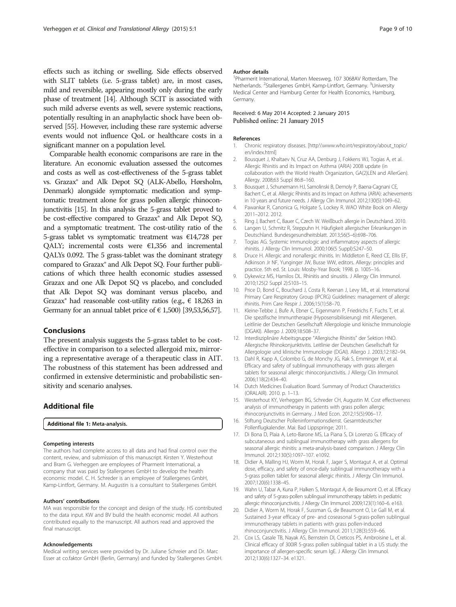<span id="page-8-0"></span>effects such as itching or swelling. Side effects observed with SLIT tablets (i.e. 5-grass tablet) are, in most cases, mild and reversible, appearing mostly only during the early phase of treatment [14]. Although SCIT is associated with such mild adverse events as well, severe systemic reactions, potentially resulting in an anaphylactic shock have been observed [[55](#page-9-0)]. However, including these rare systemic adverse events would not influence QoL or healthcare costs in a significant manner on a population level.

Comparable health economic comparisons are rare in the literature. An economic evaluation assessed the outcomes and costs as well as cost-effectiveness of the 5-grass tablet vs. Grazax® and Alk Depot SQ (ALK-Abello, Hørsholm, Denmark) alongside symptomatic medication and symptomatic treatment alone for grass pollen allergic rhinoconjunctivitis [15]. In this analysis the 5-grass tablet proved to be cost-effective compared to Grazax® and Alk Depot SO, and a symptomatic treatment. The cost-utility ratio of the 5-grass tablet vs symptomatic treatment was €14,728 per QALY; incremental costs were €1,356 and incremental QALYs 0.092. The 5 grass-tablet was the dominant strategy compared to Grazax® and Alk Depot SQ. Four further publications of which three health economic studies assessed Grazax and one Alk Depot SQ vs placebo, and concluded that Alk Depot SQ was dominant versus placebo, and Grazax<sup>®</sup> had reasonable cost-utility ratios (e.g.,  $\epsilon$  18,263 in Germany for an annual tablet price of  $\in$  1,500) [[39,53,56,57](#page-9-0)].

# Conclusions

The present analysis suggests the 5-grass tablet to be costeffective in comparison to a selected allergoid mix, mirroring a representative average of a therapeutic class in AIT. The robustness of this statement has been addressed and confirmed in extensive deterministic and probabilistic sensitivity and scenario analyses.

# Additional file

[Additional file 1:](http://www.ctajournal.com/content/supplementary/s13601-015-0045-z-s1.docx) Meta-analysis.

#### Competing interests

The authors had complete access to all data and had final control over the content, review, and submission of this manuscript. Kirsten Y. Westerhout and Bram G. Verheggen are employees of Pharmerit International, a company that was paid by Stallergenes GmbH to develop the health economic model. C. H. Schreder is an employee of Stallergenes GmbH, Kamp-Lintfort, Germany. M. Augustin is a consultant to Stallergenes GmbH.

#### Authors' contributions

MA was responsible for the concept and design of the study. HS contributed to the data input. KW and BV build the health economic model. All authors contributed equally to the manuscript. All authors read and approved the final manuscript.

#### Acknowledgements

Medical writing services were provided by Dr. Juliane Schreier and Dr. Marc Esser at co.faktor GmbH (Berlin, Germany) and funded by Stallergenes GmbH.

#### Author details

1 Pharmerit International, Marten Meesweg, 107 3068AV Rotterdam, The Netherlands. <sup>2</sup>Stallergenes GmbH, Kamp-Lintfort, Germany. <sup>3</sup>University Medical Center and Hamburg Center for Health Economics, Hamburg, Germany.

#### Received: 6 May 2014 Accepted: 2 January 2015 Published online: 21 January 2015

#### References

- 1. Chronic respiratory diseases. [http:\[\www.who.int/respiratory/about\\_topic/](http://www.who.int/respiratory/about_topic/en/index.html) [en/index.html](http://www.who.int/respiratory/about_topic/en/index.html)]
- 2. Bousquet J, Khaltaev N, Cruz AA, Denburg J, Fokkens WJ, Togias A, et al. Allergic Rhinitis and its Impact on Asthma (ARIA) 2008 update (in collaboration with the World Health Organization, GA(2)LEN and AllerGen). Allergy. 2008;63 Suppl 86:8–160.
- 3. Bousquet J, Schunemann HJ, Samolinski B, Demoly P, Baena-Cagnani CE, Bachert C, et al. Allergic Rhinitis and its Impact on Asthma (ARIA): achievements in 10 years and future needs. J Allergy Clin Immunol. 2012;130(5):1049–62.
- 4. Pawankar R, Canonica G, Holgate S, Lockey R. WAO White Book on Allergy 2011–2012. 2012.
- 5. Ring J, Bachert C, Bauer C, Czech W. Weißbuch allergie in Deutschland. 2010.
- 6. Langen U, Schmitz R, Steppuhn H. Häufigkeit allergischer Erkrankungen in Deutschland. Bundesgesundheitsblatt. 2013;56(5–6):698–706.
- 7. Togias AG. Systemic immunologic and inflammatory aspects of allergic rhinitis. J Allergy Clin Immunol. 2000;106(5 Suppl):S247–50.
- 8. Druce H. Allergic and nonallergic rhinitis. In: Middleton E, Reed CE, Ellis EF, Adkinson Jr NF, Yunginger JW, Busse WW, editors. Allergy: principles and practice. 5th ed. St. Louis: Mosby-Year Book; 1998. p. 1005–16.
- 9. Dykewicz MS, Hamilos DL. Rhinitis and sinusitis. J Allergy Clin Immunol. 2010;125(2 Suppl 2):S103–15.
- 10. Price D, Bond C, Bouchard J, Costa R, Keenan J, Levy ML, et al. International Primary Care Respiratory Group (IPCRG) Guidelines: management of allergic rhinitis. Prim Care Respir J. 2006;15(1):58–70.
- 11. Kleine-Tebbe J, Bufe A, Ebner C, Eigenmann P, Friedrichs F, Fuchs T, et al. Die spezifische Immuntherapie (Hyposensibilisierung) mit Allergenen. Leitlinie der Deutschen Gesellschaft Allergologie und kinische Immunologie (DGAKI). Allergo J. 2009;18:508–37.
- 12. Interdisziplinäre Arbeitsgruppe "Allergische Rhinitis" der Sektion HNO. Allergische Rhinokonjunktivitis. Leitlinie der Deutschen Gesellschaft für Allergologie und klinische Immunologie (DGAI). Allergo J. 2003;12:182–94.
- 13. Dahl R, Kapp A, Colombo G, de Monchy JG, Rak S, Emminger W, et al. Efficacy and safety of sublingual immunotherapy with grass allergen tablets for seasonal allergic rhinoconjunctivitis. J Allergy Clin Immunol. 2006;118(2):434–40.
- 14. Dutch Medicines Evaluation Board. Summary of Product Characteristics (ORALAIR). 2010. p. 1–13.
- 15. Westerhout KY, Verheggen BG, Schreder CH, Augustin M. Cost effectiveness analysis of immunotherapy in patients with grass pollen allergic rhinoconjunctivitis in Germany. J Med Econ. 2012;15(5):906–17.
- 16. Stiftung Deutscher Polleninformationsdienst. Gesamtdeutscher Pollenflugkalender. Mai: Bad Lippspringe; 2011.
- 17. Di Bona D, Plaia A, Leto-Barone MS, La Piana S, Di Lorenzo G. Efficacy of subcutaneous and sublingual immunotherapy with grass allergens for seasonal allergic rhinitis: a meta-analysis-based comparison. J Allergy Clin Immunol. 2012;130(5):1097–107. e1092.
- 18. Didier A, Malling HJ, Worm M, Horak F, Jager S, Montagut A, et al. Optimal dose, efficacy, and safety of once-daily sublingual immunotherapy with a 5-grass pollen tablet for seasonal allergic rhinitis. J Allergy Clin Immunol. 2007;120(6):1338–45.
- 19. Wahn U, Tabar A, Kuna P, Halken S, Montagut A, de Beaumont O, et al. Efficacy and safety of 5-grass-pollen sublingual immunotherapy tablets in pediatric allergic rhinoconjunctivitis. J Allergy Clin Immunol. 2009;123(1):160–6. e163.
- 20. Didier A, Worm M, Horak F, Sussman G, de Beaumont O, Le Gall M, et al. Sustained 3-year efficacy of pre- and coseasonal 5-grass-pollen sublingual immunotherapy tablets in patients with grass pollen-induced rhinoconjunctivitis. J Allergy Clin Immunol. 2011;128(3):559–66.
- 21. Cox LS, Casale TB, Nayak AS, Bernstein DI, Creticos PS, Ambroisine L, et al. Clinical efficacy of 300IR 5-grass pollen sublingual tablet in a US study: the importance of allergen-specific serum IgE. J Allergy Clin Immunol. 2012;130(6):1327–34. e1321.